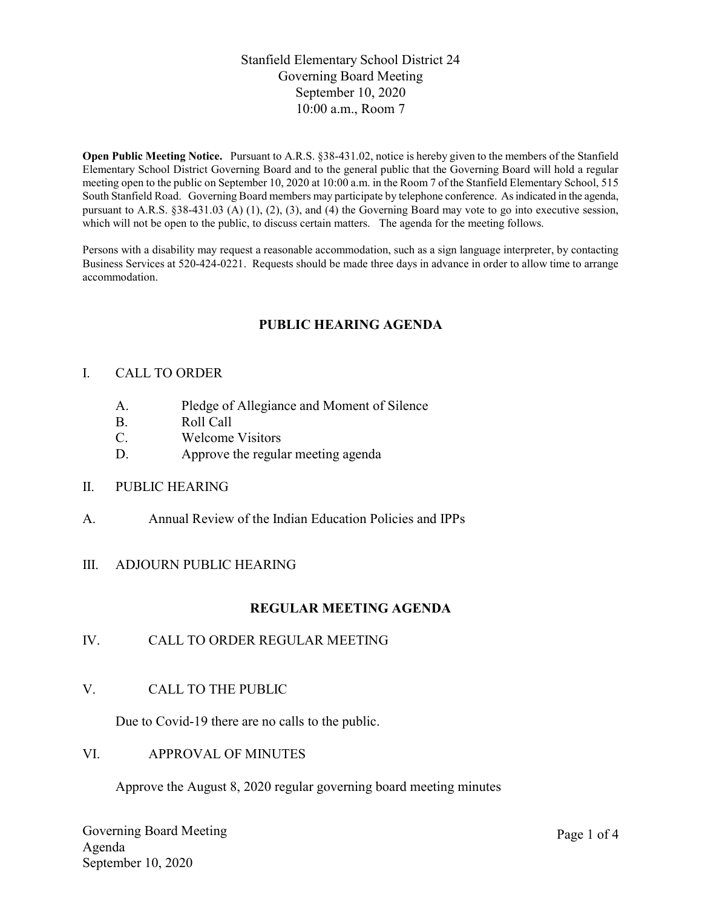## Stanfield Elementary School District 24 Governing Board Meeting September 10, 2020 10:00 a.m., Room 7

Open Public Meeting Notice. Pursuant to A.R.S. §38-431.02, notice is hereby given to the members of the Stanfield Elementary School District Governing Board and to the general public that the Governing Board will hold a regular meeting open to the public on September 10, 2020 at 10:00 a.m. in the Room 7 of the Stanfield Elementary School, 515 South Stanfield Road. Governing Board members may participate by telephone conference. As indicated in the agenda, pursuant to A.R.S. §38-431.03 (A) (1), (2), (3), and (4) the Governing Board may vote to go into executive session, which will not be open to the public, to discuss certain matters. The agenda for the meeting follows.

Persons with a disability may request a reasonable accommodation, such as a sign language interpreter, by contacting Business Services at 520-424-0221. Requests should be made three days in advance in order to allow time to arrange accommodation.

# PUBLIC HEARING AGENDA

#### I. CALL TO ORDER

- A. Pledge of Allegiance and Moment of Silence
- B. Roll Call
- C. Welcome Visitors
- D. Approve the regular meeting agenda
- II. PUBLIC HEARING
- A. Annual Review of the Indian Education Policies and IPPs

#### III. ADJOURN PUBLIC HEARING

## REGULAR MEETING AGENDA

- IV. CALL TO ORDER REGULAR MEETING
- V. CALL TO THE PUBLIC

Due to Covid-19 there are no calls to the public.

VI. APPROVAL OF MINUTES

Approve the August 8, 2020 regular governing board meeting minutes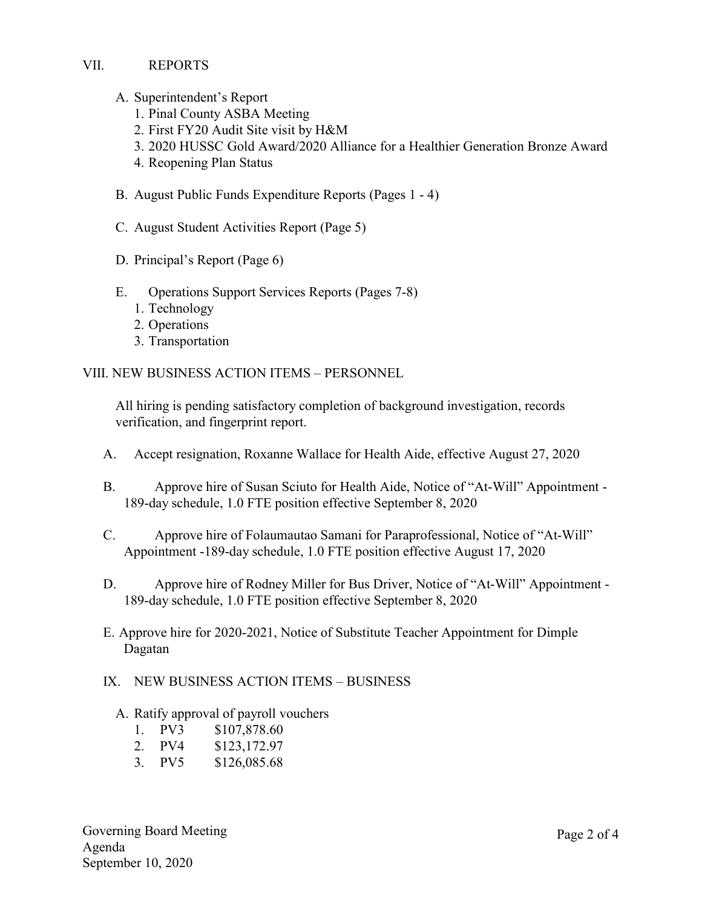VII. REPORTS

- A. Superintendent's Report
	- 1. Pinal County ASBA Meeting
	- 2. First FY20 Audit Site visit by H&M
	- 3. 2020 HUSSC Gold Award/2020 Alliance for a Healthier Generation Bronze Award
	- 4. Reopening Plan Status
- B. August Public Funds Expenditure Reports (Pages 1 4)
- C. August Student Activities Report (Page 5)
- D. Principal's Report (Page 6)
- E. Operations Support Services Reports (Pages 7-8)
	- 1. Technology
	- 2. Operations
	- 3. Transportation

VIII. NEW BUSINESS ACTION ITEMS – PERSONNEL

All hiring is pending satisfactory completion of background investigation, records verification, and fingerprint report.

- A. Accept resignation, Roxanne Wallace for Health Aide, effective August 27, 2020
- B. Approve hire of Susan Sciuto for Health Aide, Notice of "At-Will" Appointment 189-day schedule, 1.0 FTE position effective September 8, 2020
- C. Approve hire of Folaumautao Samani for Paraprofessional, Notice of "At-Will" Appointment -189-day schedule, 1.0 FTE position effective August 17, 2020
- D. Approve hire of Rodney Miller for Bus Driver, Notice of "At-Will" Appointment -189-day schedule, 1.0 FTE position effective September 8, 2020
- E. Approve hire for 2020-2021, Notice of Substitute Teacher Appointment for Dimple Dagatan

#### IX. NEW BUSINESS ACTION ITEMS – BUSINESS

- A. Ratify approval of payroll vouchers
	- 1. PV3 \$107,878.60
	- 2. PV4 \$123,172.97
	- 3. PV5 \$126,085.68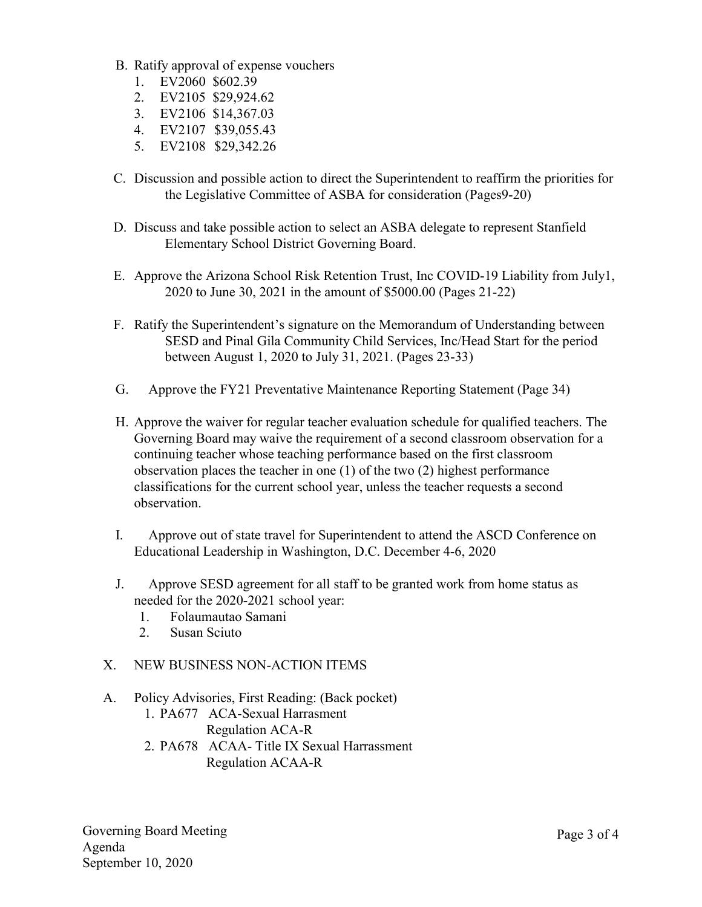- B. Ratify approval of expense vouchers
	- 1. EV2060 \$602.39
	- 2. EV2105 \$29,924.62
	- 3. EV2106 \$14,367.03
	- 4. EV2107 \$39,055.43
	- 5. EV2108 \$29,342.26
- C. Discussion and possible action to direct the Superintendent to reaffirm the priorities for the Legislative Committee of ASBA for consideration (Pages9-20)
- D. Discuss and take possible action to select an ASBA delegate to represent Stanfield Elementary School District Governing Board.
- E. Approve the Arizona School Risk Retention Trust, Inc COVID-19 Liability from July1, 2020 to June 30, 2021 in the amount of \$5000.00 (Pages 21-22)
- F. Ratify the Superintendent's signature on the Memorandum of Understanding between SESD and Pinal Gila Community Child Services, Inc/Head Start for the period between August 1, 2020 to July 31, 2021. (Pages 23-33)
- G. Approve the FY21 Preventative Maintenance Reporting Statement (Page 34)
- H. Approve the waiver for regular teacher evaluation schedule for qualified teachers. The Governing Board may waive the requirement of a second classroom observation for a continuing teacher whose teaching performance based on the first classroom observation places the teacher in one (1) of the two (2) highest performance classifications for the current school year, unless the teacher requests a second observation.
- I. Approve out of state travel for Superintendent to attend the ASCD Conference on Educational Leadership in Washington, D.C. December 4-6, 2020
- J. Approve SESD agreement for all staff to be granted work from home status as needed for the 2020-2021 school year:
	- 1. Folaumautao Samani
	- 2. Susan Sciuto
- X. NEW BUSINESS NON-ACTION ITEMS

#### A. Policy Advisories, First Reading: (Back pocket)

1. PA677 ACA-Sexual Harrasment Regulation ACA-R 2. PA678 ACAA- Title IX Sexual Harrassment Regulation ACAA-R